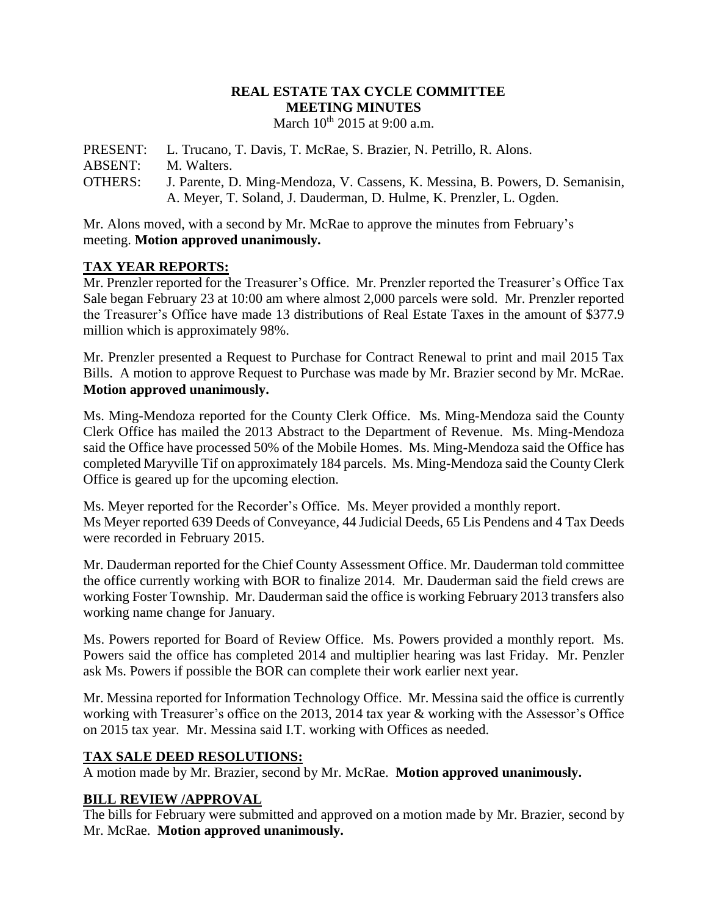### **REAL ESTATE TAX CYCLE COMMITTEE MEETING MINUTES** March 10<sup>th</sup> 2015 at 9:00 a.m.

PRESENT: L. Trucano, T. Davis, T. McRae, S. Brazier, N. Petrillo, R. Alons. ABSENT: M. Walters. OTHERS: J. Parente, D. Ming-Mendoza, V. Cassens, K. Messina, B. Powers, D. Semanisin, A. Meyer, T. Soland, J. Dauderman, D. Hulme, K. Prenzler, L. Ogden.

Mr. Alons moved, with a second by Mr. McRae to approve the minutes from February's meeting. **Motion approved unanimously.**

# **TAX YEAR REPORTS:**

Mr. Prenzler reported for the Treasurer's Office. Mr. Prenzler reported the Treasurer's Office Tax Sale began February 23 at 10:00 am where almost 2,000 parcels were sold. Mr. Prenzler reported the Treasurer's Office have made 13 distributions of Real Estate Taxes in the amount of \$377.9 million which is approximately 98%.

Mr. Prenzler presented a Request to Purchase for Contract Renewal to print and mail 2015 Tax Bills. A motion to approve Request to Purchase was made by Mr. Brazier second by Mr. McRae. **Motion approved unanimously.**

Ms. Ming-Mendoza reported for the County Clerk Office. Ms. Ming-Mendoza said the County Clerk Office has mailed the 2013 Abstract to the Department of Revenue. Ms. Ming-Mendoza said the Office have processed 50% of the Mobile Homes. Ms. Ming-Mendoza said the Office has completed Maryville Tif on approximately 184 parcels. Ms. Ming-Mendoza said the County Clerk Office is geared up for the upcoming election.

Ms. Meyer reported for the Recorder's Office. Ms. Meyer provided a monthly report. Ms Meyer reported 639 Deeds of Conveyance, 44 Judicial Deeds, 65 Lis Pendens and 4 Tax Deeds were recorded in February 2015.

Mr. Dauderman reported for the Chief County Assessment Office. Mr. Dauderman told committee the office currently working with BOR to finalize 2014. Mr. Dauderman said the field crews are working Foster Township. Mr. Dauderman said the office is working February 2013 transfers also working name change for January.

Ms. Powers reported for Board of Review Office. Ms. Powers provided a monthly report. Ms. Powers said the office has completed 2014 and multiplier hearing was last Friday. Mr. Penzler ask Ms. Powers if possible the BOR can complete their work earlier next year.

Mr. Messina reported for Information Technology Office. Mr. Messina said the office is currently working with Treasurer's office on the 2013, 2014 tax year & working with the Assessor's Office on 2015 tax year. Mr. Messina said I.T. working with Offices as needed.

# **TAX SALE DEED RESOLUTIONS:**

A motion made by Mr. Brazier, second by Mr. McRae. **Motion approved unanimously.**

# **BILL REVIEW /APPROVAL**

The bills for February were submitted and approved on a motion made by Mr. Brazier, second by Mr. McRae. **Motion approved unanimously.**